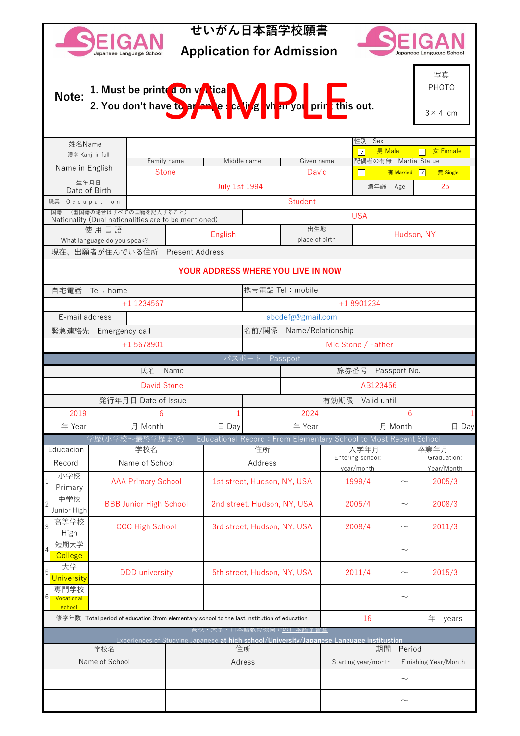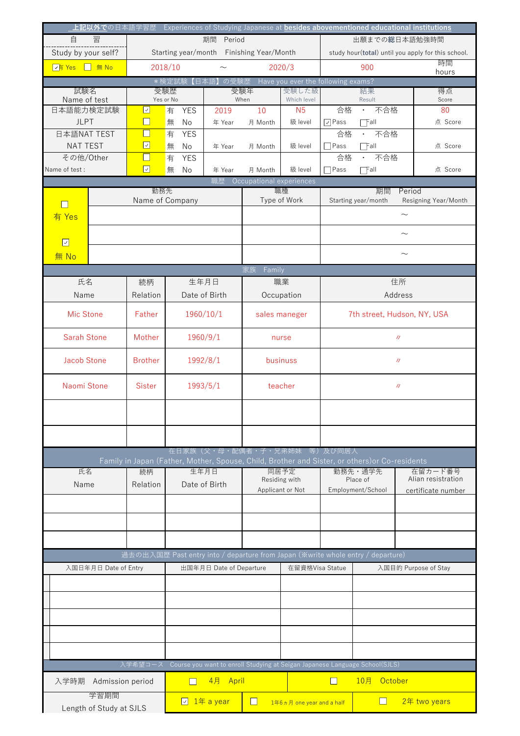|                                                                           |                                          |                                         |                         |                                |                           |                                                    |                                                                                                | 上記以外での日本語学習歴 Experiences of Studying Japanese at <b><u>besides abovementioned educational institutions</u></b> |  |  |
|---------------------------------------------------------------------------|------------------------------------------|-----------------------------------------|-------------------------|--------------------------------|---------------------------|----------------------------------------------------|------------------------------------------------------------------------------------------------|----------------------------------------------------------------------------------------------------------------|--|--|
| 自<br>習<br>期間<br>Period<br>出願までの総日本語勉強時間                                   |                                          |                                         |                         |                                |                           |                                                    |                                                                                                |                                                                                                                |  |  |
| Study by your self?                                                       | Starting year/month Finishing Year/Month |                                         |                         |                                |                           | study hour(total) until you apply for this school. |                                                                                                |                                                                                                                |  |  |
| $\boxed{\sqrt{\frac{1}{3}} \text{Yes}}$ $\boxed{\phantom{1} \text{# No}}$ | 2018/10                                  |                                         |                         | 2020/3<br>$\sim$               |                           |                                                    | 900                                                                                            | 時間                                                                                                             |  |  |
|                                                                           |                                          | の受験歴 Have you ever the following exams? |                         |                                |                           | hours                                              |                                                                                                |                                                                                                                |  |  |
| 試験名<br>受験歴                                                                |                                          | *検定試験【日本語】                              |                         | 受験年                            | 受験した級                     | 結果                                                 |                                                                                                | 得点                                                                                                             |  |  |
| Name of test                                                              | Yes or No                                |                                         |                         | When                           | Which level               |                                                    | Result                                                                                         | Score                                                                                                          |  |  |
| 日本語能力検定試験                                                                 | ☑                                        | 有<br><b>YES</b>                         | 2019                    | 10                             | N <sub>5</sub>            | 合格                                                 | 不合格<br>$\bullet$                                                                               | 80                                                                                                             |  |  |
| <b>JLPT</b>                                                               | $\Box$                                   | 無<br>No                                 | 年 Year                  | 月 Month                        | 級 level                   | $\sqrt{\phantom{a}}$ Pass                          | $\Box$ Fall                                                                                    | 点 Score                                                                                                        |  |  |
| 日本語NAT TEST                                                               | ×.                                       | 有<br><b>YES</b>                         |                         |                                |                           | 合格                                                 | 不合格                                                                                            |                                                                                                                |  |  |
| <b>NAT TEST</b>                                                           | ☑                                        | 無<br>No                                 | 年 Year                  | 月 Month                        | 級 level                   | $\neg$ Pass                                        | $\Box$ Fall                                                                                    | 点 Score                                                                                                        |  |  |
| その他/Other                                                                 | $\mathcal{L}_{\mathcal{A}}$              | 有<br><b>YES</b>                         |                         |                                |                           | 合格                                                 | 不合格<br>$\bullet$ .                                                                             |                                                                                                                |  |  |
| Name of test:                                                             | $\boxed{\triangledown}$                  | 無<br>No                                 | 年 Year                  | 月 Month                        | 級 level                   | Pass                                               | $\Box$ Fall                                                                                    | 点 Score                                                                                                        |  |  |
|                                                                           |                                          |                                         | 職歴                      | Occupational experiences       |                           |                                                    |                                                                                                |                                                                                                                |  |  |
|                                                                           | 勤務先                                      |                                         |                         | 職種                             |                           | 期間<br>Period<br>Resigning Year/Month               |                                                                                                |                                                                                                                |  |  |
|                                                                           | Name of Company                          |                                         |                         | Type of Work                   |                           | Starting year/month                                |                                                                                                |                                                                                                                |  |  |
| 有 Yes                                                                     |                                          |                                         |                         |                                |                           | $\sim$                                             |                                                                                                |                                                                                                                |  |  |
|                                                                           |                                          |                                         |                         |                                |                           |                                                    |                                                                                                | $\sim$                                                                                                         |  |  |
| $\boxed{\triangledown}$                                                   |                                          |                                         |                         |                                |                           |                                                    |                                                                                                |                                                                                                                |  |  |
| 無 No                                                                      |                                          |                                         |                         |                                |                           | $\sim$                                             |                                                                                                |                                                                                                                |  |  |
|                                                                           |                                          |                                         |                         | Family<br>家族                   |                           |                                                    |                                                                                                |                                                                                                                |  |  |
| 氏名<br>生年月日<br>続柄                                                          |                                          |                                         |                         |                                |                           | 住所                                                 |                                                                                                |                                                                                                                |  |  |
| Name                                                                      | Date of Birth<br>Relation                |                                         |                         | 職業                             |                           | Address                                            |                                                                                                |                                                                                                                |  |  |
|                                                                           |                                          |                                         |                         | Occupation                     |                           |                                                    |                                                                                                |                                                                                                                |  |  |
| Mic Stone                                                                 | Father                                   | 1960/10/1                               |                         | sales maneger                  |                           | 7th street, Hudson, NY, USA                        |                                                                                                |                                                                                                                |  |  |
|                                                                           |                                          |                                         |                         |                                |                           |                                                    |                                                                                                |                                                                                                                |  |  |
| <b>Sarah Stone</b>                                                        | Mother                                   | 1960/9/1                                |                         | nurse                          |                           | $\boldsymbol{J}\boldsymbol{J}$                     |                                                                                                |                                                                                                                |  |  |
|                                                                           |                                          |                                         |                         |                                |                           |                                                    |                                                                                                |                                                                                                                |  |  |
| <b>Jacob Stone</b><br><b>Brother</b>                                      |                                          | 1992/8/1                                |                         | businuss                       |                           | $\boldsymbol{J}\boldsymbol{J}$                     |                                                                                                |                                                                                                                |  |  |
|                                                                           |                                          |                                         |                         |                                |                           |                                                    |                                                                                                |                                                                                                                |  |  |
| Naomi Stone<br><b>Sister</b>                                              |                                          | 1993/5/1                                |                         | teacher                        |                           | $J\hspace{-.2cm}J$                                 |                                                                                                |                                                                                                                |  |  |
|                                                                           |                                          |                                         |                         |                                |                           |                                                    |                                                                                                |                                                                                                                |  |  |
|                                                                           |                                          |                                         |                         |                                |                           |                                                    |                                                                                                |                                                                                                                |  |  |
|                                                                           |                                          |                                         |                         |                                |                           |                                                    |                                                                                                |                                                                                                                |  |  |
|                                                                           |                                          |                                         |                         |                                |                           |                                                    |                                                                                                |                                                                                                                |  |  |
|                                                                           |                                          |                                         |                         | 在日家族(父・母・配偶者・子・兄弟姉妹 等)及び同居人    |                           |                                                    |                                                                                                |                                                                                                                |  |  |
|                                                                           |                                          |                                         |                         |                                |                           |                                                    | Family in Japan (Father, Mother, Spouse, Child, Brother and Sister, or others) or Co-residents |                                                                                                                |  |  |
| 氏名                                                                        |                                          | 生年月日                                    |                         | 同居予定                           |                           | 勤務先・通学先                                            | 在留カード番号                                                                                        |                                                                                                                |  |  |
| 続柄<br>Name<br>Relation                                                    |                                          | Date of Birth                           |                         | Residing with                  |                           |                                                    | Place of                                                                                       | Alian resistration                                                                                             |  |  |
|                                                                           |                                          |                                         |                         | Applicant or Not               |                           |                                                    | Employment/School                                                                              | certificate number                                                                                             |  |  |
|                                                                           |                                          |                                         |                         |                                |                           |                                                    |                                                                                                |                                                                                                                |  |  |
|                                                                           |                                          |                                         |                         |                                |                           |                                                    |                                                                                                |                                                                                                                |  |  |
|                                                                           |                                          |                                         |                         |                                |                           |                                                    |                                                                                                |                                                                                                                |  |  |
|                                                                           |                                          |                                         |                         |                                |                           |                                                    |                                                                                                |                                                                                                                |  |  |
|                                                                           |                                          |                                         |                         |                                |                           |                                                    | 過去の出入国歴 Past entry into / departure from Japan (※write whole entry / departure)                |                                                                                                                |  |  |
| 入国日年月日 Date of Entry                                                      |                                          |                                         | 出国年月日 Date of Departure |                                | 在留資格Visa Statue           |                                                    |                                                                                                | 入国目的 Purpose of Stay                                                                                           |  |  |
|                                                                           |                                          |                                         |                         |                                |                           |                                                    |                                                                                                |                                                                                                                |  |  |
|                                                                           |                                          |                                         |                         |                                |                           |                                                    |                                                                                                |                                                                                                                |  |  |
|                                                                           |                                          |                                         |                         |                                |                           |                                                    |                                                                                                |                                                                                                                |  |  |
|                                                                           |                                          |                                         |                         |                                |                           |                                                    |                                                                                                |                                                                                                                |  |  |
|                                                                           |                                          |                                         |                         |                                |                           |                                                    |                                                                                                |                                                                                                                |  |  |
|                                                                           |                                          |                                         |                         |                                |                           |                                                    |                                                                                                |                                                                                                                |  |  |
|                                                                           |                                          |                                         |                         |                                |                           |                                                    |                                                                                                |                                                                                                                |  |  |
|                                                                           | 入学希望コース                                  |                                         |                         |                                |                           |                                                    | Course you want to enroll Studying at Seigan Japanese Language School(SJLS)                    |                                                                                                                |  |  |
|                                                                           |                                          |                                         |                         |                                |                           |                                                    |                                                                                                |                                                                                                                |  |  |
| 入学時期<br>Admission period                                                  | 4月 April                                 |                                         |                         | 10月<br>October<br>$\mathsf{L}$ |                           |                                                    |                                                                                                |                                                                                                                |  |  |
| 学習期間                                                                      |                                          |                                         |                         |                                |                           |                                                    | $\Box$                                                                                         | 2年 two years                                                                                                   |  |  |
| Length of Study at SJLS                                                   |                                          | □ 1年 a year<br>$\Box$                   |                         |                                | 1年6ヵ月 one year and a half |                                                    |                                                                                                |                                                                                                                |  |  |